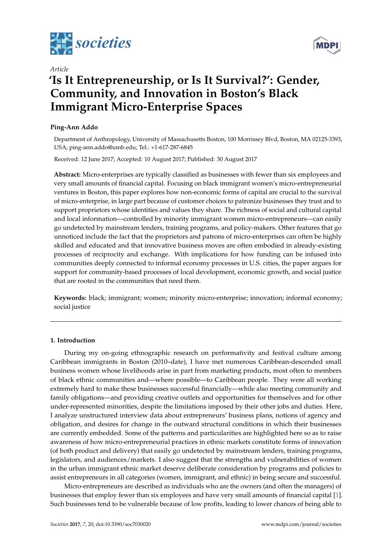

*Article*

# **'Is It Entrepreneurship, or Is It Survival?': Gender, Community, and Innovation in Boston's Black Immigrant Micro-Enterprise Spaces**

# **Ping-Ann Addo**

Department of Anthropology, University of Massachusetts Boston, 100 Morrissey Blvd, Boston, MA 02125-3393, USA; ping-ann.addo@umb.edu; Tel.: +1-617-287-6845

Received: 12 June 2017; Accepted: 10 August 2017; Published: 30 August 2017

**Abstract:** Micro-enterprises are typically classified as businesses with fewer than six employees and very small amounts of financial capital. Focusing on black immigrant women's micro-entrepreneurial ventures in Boston, this paper explores how non-economic forms of capital are crucial to the survival of micro-enterprise, in large part because of customer choices to patronize businesses they trust and to support proprietors whose identities and values they share. The richness of social and cultural capital and local information—controlled by minority immigrant women micro-entrepreneurs—can easily go undetected by mainstream lenders, training programs, and policy-makers. Other features that go unnoticed include the fact that the proprietors and patrons of micro-enterprises can often be highly skilled and educated and that innovative business moves are often embodied in already-existing processes of reciprocity and exchange. With implications for how funding can be infused into communities deeply connected to informal economy processes in U.S. cities, the paper argues for support for community-based processes of local development, economic growth, and social justice that are rooted in the communities that need them.

**Keywords:** black; immigrant; women; minority micro-enterprise; innovation; informal economy; social justice

# **1. Introduction**

During my on-going ethnographic research on performativity and festival culture among Caribbean immigrants in Boston (2010–date), I have met numerous Caribbean-descended small business women whose livelihoods arise in part from marketing products, most often to members of black ethnic communities and—where possible—to Caribbean people. They were all working extremely hard to make these businesses successful financially—while also meeting community and family obligations—and providing creative outlets and opportunities for themselves and for other under-represented minorities, despite the limitations imposed by their other jobs and duties. Here, I analyze unstructured interview data about entrepreneurs' business plans, notions of agency and obligation, and desires for change in the outward structural conditions in which their businesses are currently embedded. Some of the patterns and particularities are highlighted here so as to raise awareness of how micro-entrepreneurial practices in ethnic markets constitute forms of innovation (of both product and delivery) that easily go undetected by mainstream lenders, training programs, legislators, and audiences/markets. I also suggest that the strengths and vulnerabilities of women in the urban immigrant ethnic market deserve deliberate consideration by programs and policies to assist entrepreneurs in all categories (women, immigrant, and ethnic) in being secure and successful.

Micro-entrepreneurs are described as individuals who are the owners (and often the managers) of businesses that employ fewer than six employees and have very small amounts of financial capital [\[1\]](#page-17-0). Such businesses tend to be vulnerable because of low profits, leading to lower chances of being able to

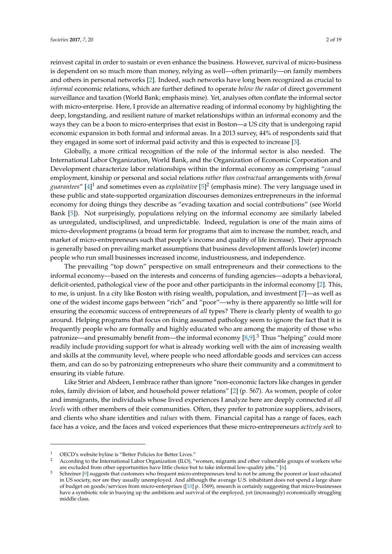reinvest capital in order to sustain or even enhance the business. However, survival of micro-business is dependent on so much more than money, relying as well—often primarily—on family members and others in personal networks [\[2\]](#page-17-1). Indeed, such networks have long been recognized as crucial to *informal* economic relations, which are further defined to operate *below the radar* of direct government surveillance and taxation (World Bank; emphasis mine). Yet, analyses often conflate the informal sector with micro-enterprise. Here, I provide an alternative reading of informal economy by highlighting the deep, longstanding, and resilient nature of market relationships within an informal economy and the ways they can be a boon to micro-enterprises that exist in Boston—a US city that is undergoing rapid economic expansion in both formal and informal areas. In a 2013 survey, 44% of respondents said that they engaged in some sort of informal paid activity and this is expected to increase [\[3\]](#page-17-2).

Globally, a more critical recognition of the role of the informal sector is also needed. The International Labor Organization, World Bank, and the Organization of Economic Corporation and Development characterize labor relationships within the informal economy as comprising "*casual* employment, kinship or personal and social relations *rather than contractual* arrangements with *formal guarantees*" [\[4\]](#page-17-3) <sup>1</sup> and sometimes even as *exploitative* [\[5\]](#page-17-4) 2 (emphasis mine). The very language used in these public and state-supported organization discourses demonizes entrepreneurs in the informal economy for doing things they describe as "evading taxation and social contributions" (see World Bank [\[5\]](#page-17-4)). Not surprisingly, populations relying on the informal economy are similarly labeled as unregulated, undisciplined, and unpredictable. Indeed, regulation is one of the main aims of micro-development programs (a broad term for programs that aim to increase the number, reach, and market of micro-entrepreneurs such that people's income and quality of life increase). Their approach is generally based on prevailing market assumptions that business development affords low(er) income people who run small businesses increased income, industriousness, and independence.

The prevailing "top down" perspective on small entrepreneurs and their connections to the informal economy—based on the interests and concerns of funding agencies—adopts a behavioral, deficit-oriented, pathological view of the poor and other participants in the informal economy [\[2\]](#page-17-1). This, to me, is unjust. In a city like Boston with rising wealth, population, and investment [\[7\]](#page-17-5)—as well as one of the widest income gaps between "rich" and "poor"—why is there apparently so little will for ensuring the economic success of entrepreneurs of *all* types? There is clearly plenty of wealth to go around. Helping programs that focus on fixing assumed pathology seem to ignore the fact that it is frequently people who are formally and highly educated who are among the majority of those who patronize—and presumably benefit from—the informal economy  $[8,9]$  $[8,9]$ .<sup>3</sup> Thus "helping" could more readily include providing support for what is already working well with the aim of increasing wealth and skills at the community level, where people who need affordable goods and services can access them, and can do so by patronizing entrepreneurs who share their community and a commitment to ensuring its viable future.

Like Strier and Abdeen, I embrace rather than ignore "non-economic factors like changes in gender roles, family division of labor, and household power relations" [\[2\]](#page-17-1) (p. 567). As women, people of color and immigrants, the individuals whose lived experiences I analyze here are deeply connected *at all levels* with other members of their communities. Often, they prefer to patronize suppliers, advisors, and clients who share identities and *values* with them. Financial capital has a range of faces, each face has a voice, and the faces and voiced experiences that these micro-entrepreneurs *actively seek* to

<sup>1</sup> OECD's website byline is "Better Policies for Better Lives."

<sup>2</sup> According to the International Labor Organization (ILO), "women, migrants and other vulnerable groups of workers who are excluded from other opportunities have little choice but to take informal low-quality jobs." [\[6\]](#page-17-8).

<sup>3</sup> Schreiner [\[9\]](#page-17-7) suggests that customers who frequent micro-entrepreneurs tend to not be among the poorest or least educated in US society, nor are they usually unemployed. And although the average U.S. inhabitant does not spend a large share of budget on goods/services from micro-enterprises ([\[10\]](#page-17-9) p. 1569), research is certainly suggesting that micro-businesses have a symbiotic role in buoying up the ambitions and survival of the employed, yet (increasingly) economically struggling middle class.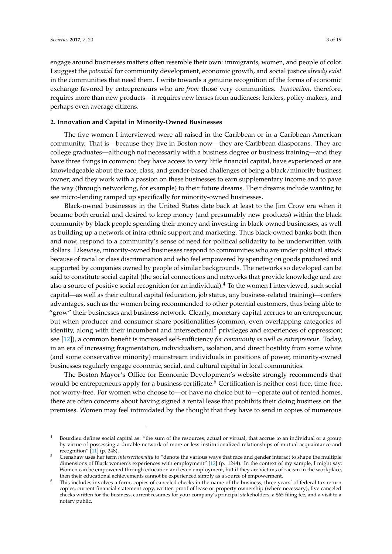engage around businesses matters often resemble their own: immigrants, women, and people of color. I suggest the *potential* for community development, economic growth, and social justice *already exist* in the communities that need them. I write towards a genuine recognition of the forms of economic exchange favored by entrepreneurs who are *from* those very communities. *Innovation*, therefore, requires more than new products—it requires new lenses from audiences: lenders, policy-makers, and perhaps even average citizens.

## **2. Innovation and Capital in Minority-Owned Businesses**

The five women I interviewed were all raised in the Caribbean or in a Caribbean-American community. That is—because they live in Boston now—they are Caribbean diasporans. They are college graduates—although not necessarily with a business degree or business training—and they have three things in common: they have access to very little financial capital, have experienced or are knowledgeable about the race, class, and gender-based challenges of being a black/minority business owner; and they work with a passion on these businesses to earn supplementary income and to pave the way (through networking, for example) to their future dreams. Their dreams include wanting to see micro-lending ramped up specifically for minority-owned businesses.

Black-owned businesses in the United States date back at least to the Jim Crow era when it became both crucial and desired to keep money (and presumably new products) within the black community by black people spending their money and investing in black-owned businesses, as well as building up a network of intra-ethnic support and marketing. Thus black-owned banks both then and now, respond to a community's sense of need for political solidarity to be underwritten with dollars. Likewise, minority-owned businesses respond to communities who are under political attack because of racial or class discrimination and who feel empowered by spending on goods produced and supported by companies owned by people of similar backgrounds. The networks so developed can be said to constitute social capital (the social connections and networks that provide knowledge and are also a source of positive social recognition for an individual). $4$  To the women I interviewed, such social capital—as well as their cultural capital (education, job status, any business-related training)—confers advantages, such as the women being recommended to other potential customers, thus being able to "grow" their businesses and business network. Clearly, monetary capital accrues to an entrepreneur, but when producer and consumer share positionalities (common, even overlapping categories of identity, along with their incumbent and intersectional<sup>5</sup> privileges and experiences of oppression; see [\[12\]](#page-17-10)), a common benefit is increased self-sufficiency *for community as well as entrepreneur*. Today, in an era of increasing fragmentation, individualism, isolation, and direct hostility from some white (and some conservative minority) mainstream individuals in positions of power, minority-owned businesses regularly engage economic, social, and cultural capital in local communities.

The Boston Mayor's Office for Economic Development's website strongly recommends that would-be entrepreneurs apply for a business certificate.<sup>6</sup> Certification is neither cost-free, time-free, nor worry-free. For women who choose to—or have no choice but to—operate out of rented homes, there are often concerns about having signed a rental lease that prohibits their doing business on the premises. Women may feel intimidated by the thought that they have to send in copies of numerous

<sup>&</sup>lt;sup>4</sup> Bourdieu defines social capital as: "the sum of the resources, actual or virtual, that accrue to an individual or a group by virtue of possessing a durable network of more or less institutionalized relationships of mutual acquaintance and recognition"  $[11]$  (p. 248).

<sup>5</sup> Crenshaw uses her term *intersectionality* to "denote the various ways that race and gender interact to shape the multiple dimensions of Black women's experiences with employment" [\[12\]](#page-17-10) (p. 1244). In the context of my sample, I might say: Women can be empowered through education and even employment, but if they are victims of racism in the workplace, then their educational achievements cannot be experienced simply as a source of empowerment.

<sup>6</sup> This includes involves a form, copies of canceled checks in the name of the business, three years' of federal tax return copies, current financial statement copy, written proof of lease or property ownership (where necessary), five canceled checks written for the business, current resumes for your company's principal stakeholders, a \$65 filing fee, and a visit to a notary public.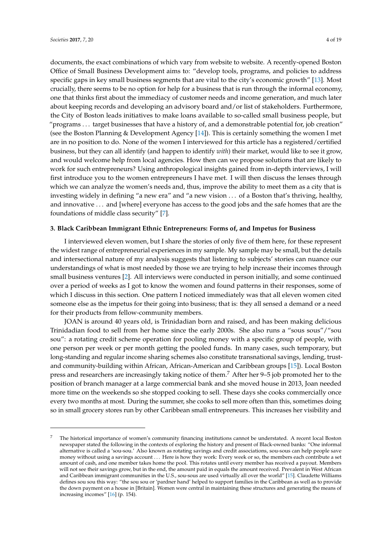documents, the exact combinations of which vary from website to website. A recently-opened Boston Office of Small Business Development aims to: "develop tools, programs, and policies to address specific gaps in key small business segments that are vital to the city's economic growth" [\[13\]](#page-17-12). Most crucially, there seems to be no option for help for a business that is run through the informal economy, one that thinks first about the immediacy of customer needs and income generation, and much later about keeping records and developing an advisory board and/or list of stakeholders. Furthermore, the City of Boston leads initiatives to make loans available to so-called small business people, but "programs . . . target businesses that have a history of, and a demonstrable potential for, job creation" (see the Boston Planning & Development Agency [\[14\]](#page-17-13)). This is certainly something the women I met are in no position to do. None of the women I interviewed for this article has a registered/certified business, but they can all identify (and happen to identify *with*) their market, would like to see it grow, and would welcome help from local agencies. How then can we propose solutions that are likely to work for such entrepreneurs? Using anthropological insights gained from in-depth interviews, I will first introduce you to the women entrepreneurs I have met. I will then discuss the lenses through which we can analyze the women's needs and, thus, improve the ability to meet them as a city that is investing widely in defining "a new era" and "a new vision . . . of a Boston that's thriving, healthy, and innovative . . . and [where] everyone has access to the good jobs and the safe homes that are the foundations of middle class security" [\[7\]](#page-17-5).

## **3. Black Caribbean Immigrant Ethnic Entrepreneurs: Forms of, and Impetus for Business**

I interviewed eleven women, but I share the stories of only five of them here, for these represent the widest range of entrepreneurial experiences in my sample. My sample may be small, but the details and intersectional nature of my analysis suggests that listening to subjects' stories can nuance our understandings of what is most needed by those we are trying to help increase their incomes through small business ventures [\[2\]](#page-17-1). All interviews were conducted in person initially, and some continued over a period of weeks as I got to know the women and found patterns in their responses, some of which I discuss in this section. One pattern I noticed immediately was that all eleven women cited someone else as the impetus for their going into business; that is: they all sensed a demand or a need for their products from fellow-community members.

JOAN is around 40 years old, is Trinidadian born and raised, and has been making delicious Trinidadian food to sell from her home since the early 2000s. She also runs a "sous sous"/"sou sou": a rotating credit scheme operation for pooling money with a specific group of people, with one person per week or per month getting the pooled funds. In many cases, such temporary, but long-standing and regular income sharing schemes also constitute transnational savings, lending, trustand community-building within African, African-American and Caribbean groups [\[15\]](#page-17-14)). Local Boston press and researchers are increasingly taking notice of them.<sup>7</sup> After her  $9-5$  job promoted her to the position of branch manager at a large commercial bank and she moved house in 2013, Joan needed more time on the weekends so she stopped cooking to sell. These days she cooks commercially once every two months at most. During the summer, she cooks to sell more often than this, sometimes doing so in small grocery stores run by other Caribbean small entrepreneurs. This increases her visibility and

<sup>7</sup> The historical importance of women's community financing institutions cannot be understated. A recent local Boston newspaper stated the following in the contexts of exploring the history and present of Black-owned banks: "One informal alternative is called a 'sou-sou.' Also known as rotating savings and credit associations, sou-sous can help people save money without using a savings account . . . Here is how they work: Every week or so, the members each contribute a set amount of cash, and one member takes home the pool. This rotates until every member has received a payout. Members will not see their savings grow, but in the end, the amount paid in equals the amount received. Prevalent in West African and Caribbean immigrant communities in the U.S., sou-sous are used virtually all over the world" [\[15\]](#page-17-14). Claudette Williams defines sou sou this way: "the sou sou or 'pardner hand' helped to support families in the Caribbean as well as to provide the down payment on a house in [Britain]. Women were central in maintaining these structures and generating the means of increasing incomes" [\[16\]](#page-17-15) (p. 154).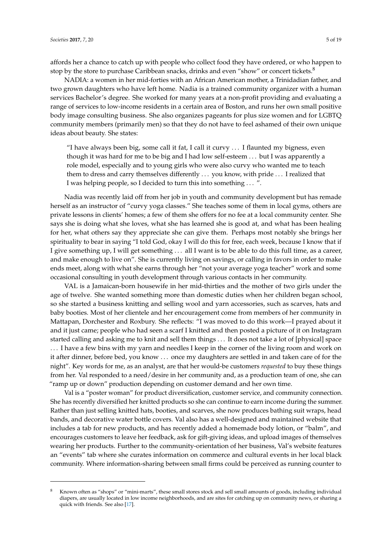affords her a chance to catch up with people who collect food they have ordered, or who happen to stop by the store to purchase Caribbean snacks, drinks and even "show" or concert tickets.<sup>8</sup>

NADIA: a women in her mid-forties with an African American mother, a Trinidadian father, and two grown daughters who have left home. Nadia is a trained community organizer with a human services Bachelor's degree. She worked for many years at a non-profit providing and evaluating a range of services to low-income residents in a certain area of Boston, and runs her own small positive body image consulting business. She also organizes pageants for plus size women and for LGBTQ community members (primarily men) so that they do not have to feel ashamed of their own unique ideas about beauty. She states:

"I have always been big, some call it fat, I call it curvy  $\dots$  I flaunted my bigness, even though it was hard for me to be big and I had low self-esteem . . . but I was apparently a role model, especially and to young girls who were also curvy who wanted me to teach them to dress and carry themselves differently . . . you know, with pride . . . I realized that I was helping people, so I decided to turn this into something . . . ".

Nadia was recently laid off from her job in youth and community development but has remade herself as an instructor of "curvy yoga classes." She teaches some of them in local gyms, others are private lessons in clients' homes; a few of them she offers for no fee at a local community center. She says she is doing what she loves, what she has learned she is good at, and what has been healing for her, what others say they appreciate she can give them. Perhaps most notably she brings her spirituality to bear in saying "I told God, okay I will do this for free, each week, because I know that if I give something up, I will get something . . . all I want is to be able to do this full time, as a career, and make enough to live on". She is currently living on savings, or calling in favors in order to make ends meet, along with what she earns through her "not your average yoga teacher" work and some occasional consulting in youth development through various contacts in her community.

VAL is a Jamaican-born housewife in her mid-thirties and the mother of two girls under the age of twelve. She wanted something more than domestic duties when her children began school, so she started a business knitting and selling wool and yarn accessories, such as scarves, hats and baby booties. Most of her clientele and her encouragement come from members of her community in Mattapan, Dorchester and Roxbury. She reflects: "I was moved to do this work—I prayed about it and it just came; people who had seen a scarf I knitted and then posted a picture of it on Instagram started calling and asking me to knit and sell them things . . . It does not take a lot of [physical] space . . . I have a few bins with my yarn and needles I keep in the corner of the living room and work on it after dinner, before bed, you know . . . once my daughters are settled in and taken care of for the night". Key words for me, as an analyst, are that her would-be customers *requested* to buy these things from her. Val responded to a need/desire in her community and, as a production team of one, she can "ramp up or down" production depending on customer demand and her own time.

Val is a "poster woman" for product diversification, customer service, and community connection. She has recently diversified her knitted products so she can continue to earn income during the summer. Rather than just selling knitted hats, booties, and scarves, she now produces bathing suit wraps, head bands, and decorative water bottle covers. Val also has a well-designed and maintained website that includes a tab for new products, and has recently added a homemade body lotion, or "balm", and encourages customers to leave her feedback, ask for gift-giving ideas, and upload images of themselves wearing her products. Further to the community-orientation of her business, Val's website features an "events" tab where she curates information on commerce and cultural events in her local black community. Where information-sharing between small firms could be perceived as running counter to

<sup>8</sup> Known often as "shops" or "mini-marts", these small stores stock and sell small amounts of goods, including individual diapers, are usually located in low income neighborhoods, and are sites for catching up on community news, or sharing a quick with friends. See also [\[17\]](#page-17-16).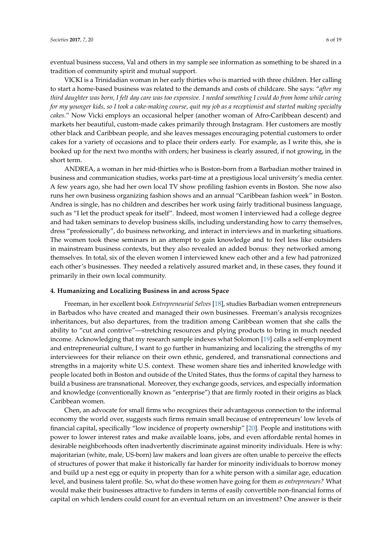eventual business success, Val and others in my sample see information as something to be shared in a tradition of community spirit and mutual support.

VICKI is a Trinidadian woman in her early thirties who is married with three children. Her calling to start a home-based business was related to the demands and costs of childcare. She says: "*after my third daughter was born, I felt day care was too expensive. I needed something I could do from home while caring for my younger kids, so I took a cake-making course, quit my job as a receptionist and started making specialty cakes*." Now Vicki employs an occasional helper (another woman of Afro-Caribbean descent) and markets her beautiful, custom-made cakes primarily through Instagram. Her customers are mostly other black and Caribbean people, and she leaves messages encouraging potential customers to order cakes for a variety of occasions and to place their orders early. For example, as I write this, she is booked up for the next two months with orders; her business is clearly assured, if not growing, in the short term.

ANDREA, a woman in her mid-thirties who is Boston-born from a Barbadian mother trained in business and communication studies, works part-time at a prestigious local university's media center. A few years ago, she had her own local TV show profiling fashion events in Boston. She now also runs her own business organizing fashion shows and an annual "Caribbean fashion week" in Boston. Andrea is single, has no children and describes her work using fairly traditional business language, such as "I let the product speak for itself". Indeed, most women I interviewed had a college degree and had taken seminars to develop business skills, including understanding how to carry themselves, dress "professionally", do business networking, and interact in interviews and in marketing situations. The women took these seminars in an attempt to gain knowledge and to feel less like outsiders in mainstream business contexts, but they also revealed an added bonus: they networked among themselves. In total, six of the eleven women I interviewed knew each other and a few had patronized each other's businesses. They needed a relatively assured market and, in these cases, they found it primarily in their own local community.

#### **4. Humanizing and Localizing Business in and across Space**

Freeman, in her excellent book *Entrepreneurial Selves* [\[18\]](#page-17-17), studies Barbadian women entrepreneurs in Barbados who have created and managed their own businesses. Freeman's analysis recognizes inheritances, but also departures, from the tradition among Caribbean women that she calls the ability to "cut and contrive"—stretching resources and plying products to bring in much needed income. Acknowledging that my research sample indexes what Solomon [\[19\]](#page-17-18) calls a self-employment and entrepreneurial culture, I want to go further in humanizing and localizing the strengths of my interviewees for their reliance on their own ethnic, gendered, and transnational connections and strengths in a majority white U.S. context. These women share ties and inherited knowledge with people located both in Boston and outside of the United States, thus the forms of capital they harness to build a business are transnational. Moreover, they exchange goods, services, and especially information and knowledge (conventionally known as "enterprise") that are firmly rooted in their origins as black Caribbean women.

Chen, an advocate for small firms who recognizes their advantageous connection to the informal economy the world over, suggests such firms remain small because of entrepreneurs' low levels of financial capital, specifically "low incidence of property ownership" [\[20\]](#page-17-19). People and institutions with power to lower interest rates and make available loans, jobs, and even affordable rental homes in desirable neighborhoods often inadvertently discriminate against minority individuals. Here is why: majoritarian (white, male, US-born) law makers and loan givers are often unable to perceive the effects of structures of power that make it historically far harder for minority individuals to borrow money and build up a nest egg or equity in property than for a white person with a similar age, education level, and business talent profile. So, what do these women have going for them *as entrepreneurs?* What would make their businesses attractive to funders in terms of easily convertible non-financial forms of capital on which lenders could count for an eventual return on an investment? One answer is their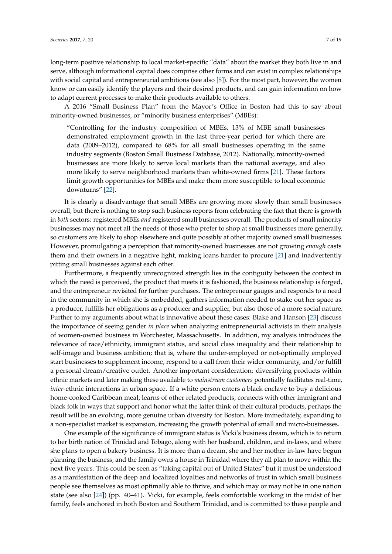long-term positive relationship to local market-specific "data" about the market they both live in and serve, although informational capital does comprise other forms and can exist in complex relationships with social capital and entrepreneurial ambitions (see also [\[8\]](#page-17-6)). For the most part, however, the women know or can easily identify the players and their desired products, and can gain information on how to adapt current processes to make their products available to others.

A 2016 "Small Business Plan" from the Mayor's Office in Boston had this to say about minority-owned businesses, or "minority business enterprises" (MBEs):

"Controlling for the industry composition of MBEs, 13% of MBE small businesses demonstrated employment growth in the last three-year period for which there are data (2009–2012), compared to 68% for all small businesses operating in the same industry segments (Boston Small Business Database, 2012). Nationally, minority-owned businesses are more likely to serve local markets than the national average, and also more likely to serve neighborhood markets than white-owned firms [\[21\]](#page-17-20). These factors limit growth opportunities for MBEs and make them more susceptible to local economic downturns" [\[22\]](#page-18-0).

It is clearly a disadvantage that small MBEs are growing more slowly than small businesses overall, but there is nothing to stop such business reports from celebrating the fact that there is growth in *both* sectors: registered MBEs *and* registered small businesses overall. The products of small minority businesses may not meet all the needs of those who prefer to shop at small businesses more generally, so customers are likely to shop elsewhere and quite possibly at other majority owned small businesses. However, promulgating a perception that minority-owned businesses are not growing *enough* casts them and their owners in a negative light, making loans harder to procure [\[21\]](#page-17-20) and inadvertently pitting small businesses against each other.

Furthermore, a frequently unrecognized strength lies in the contiguity between the context in which the need is perceived, the product that meets it is fashioned, the business relationship is forged, and the entrepreneur revisited for further purchases. The entrepreneur gauges and responds to a need in the community in which she is embedded, gathers information needed to stake out her space as a producer, fulfills her obligations as a producer and supplier, but also those of a more social nature. Further to my arguments about what is innovative about these cases: Blake and Hanson [\[23\]](#page-18-1) discuss the importance of seeing gender *in place* when analyzing entrepreneurial activists in their analysis of women-owned business in Worchester, Massachusetts. In addition, my analysis introduces the relevance of race/ethnicity, immigrant status, and social class inequality and their relationship to self-image and business ambition; that is, where the under-employed or not-optimally employed start businesses to supplement income, respond to a call from their wider community, and/or fulfill a personal dream/creative outlet. Another important consideration: diversifying products within ethnic markets and later making these available to *mainstream customers* potentially facilitates real-time, *inter*-ethnic interactions in urban space. If a white person enters a black enclave to buy a delicious home-cooked Caribbean meal, learns of other related products, connects with other immigrant and black folk in ways that support and honor what the latter think of their cultural products, perhaps the result will be an evolving, more genuine urban diversity for Boston. More immediately, expanding to a non-specialist market is expansion, increasing the growth potential of small and micro-businesses.

One example of the significance of immigrant status is Vicki's business dream, which is to return to her birth nation of Trinidad and Tobago, along with her husband, children, and in-laws, and where she plans to open a bakery business. It is more than a dream, she and her mother in-law have begun planning the business, and the family owns a house in Trinidad where they all plan to move within the next five years. This could be seen as "taking capital out of United States" but it must be understood as a manifestation of the deep and localized loyalties and networks of trust in which small business people see themselves as most optimally able to thrive, and which may or may not be in one nation state (see also [\[24\]](#page-18-2)) (pp. 40–41). Vicki, for example, feels comfortable working in the midst of her family, feels anchored in both Boston and Southern Trinidad, and is committed to these people and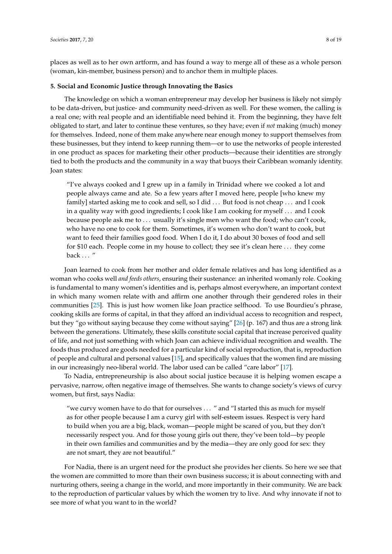places as well as to her own artform, and has found a way to merge all of these as a whole person (woman, kin-member, business person) and to anchor them in multiple places.

#### **5. Social and Economic Justice through Innovating the Basics**

The knowledge on which a woman entrepreneur may develop her business is likely not simply to be data-driven, but justice- and community need-driven as well. For these women, the calling is a real one; with real people and an identifiable need behind it. From the beginning, they have felt obligated to start, and later to continue these ventures, so they have; even if *not* making (much) money for themselves. Indeed, none of them make anywhere near enough money to support themselves from these businesses, but they intend to keep running them—or to use the networks of people interested in one product as spaces for marketing their other products—because their identities are strongly tied to both the products and the community in a way that buoys their Caribbean womanly identity. Joan states:

"I've always cooked and I grew up in a family in Trinidad where we cooked a lot and people always came and ate. So a few years after I moved here, people [who knew my family] started asking me to cook and sell, so I did . . . But food is not cheap . . . and I cook in a quality way with good ingredients; I cook like I am cooking for myself . . . and I cook because people ask me to . . . usually it's single men who want the food; who can't cook, who have no one to cook for them. Sometimes, it's women who don't want to cook, but want to feed their families good food. When I do it, I do about 30 boxes of food and sell for \$10 each. People come in my house to collect; they see it's clean here . . . they come back . . . "

Joan learned to cook from her mother and older female relatives and has long identified as a woman who cooks well *and feeds others*, ensuring their sustenance: an inherited womanly role. Cooking is fundamental to many women's identities and is, perhaps almost everywhere, an important context in which many women relate with and affirm one another through their gendered roles in their communities [\[25\]](#page-18-3). This is just how women like Joan practice selfhood. To use Bourdieu's phrase, cooking skills are forms of capital, in that they afford an individual access to recognition and respect, but they "go without saying because they come without saying" [\[26\]](#page-18-4) (p. 167) and thus are a strong link between the generations. Ultimately, these skills constitute social capital that increase perceived quality of life, and not just something with which Joan can achieve individual recognition and wealth. The foods thus produced are goods needed for a particular kind of social reproduction, that is, reproduction of people and cultural and personal values [\[15\]](#page-17-14), and specifically values that the women find are missing in our increasingly neo-liberal world. The labor used can be called "care labor" [\[17\]](#page-17-16).

To Nadia, entrepreneurship is also about social justice because it is helping women escape a pervasive, narrow, often negative image of themselves. She wants to change society's views of curvy women, but first, says Nadia:

"we curvy women have to do that for ourselves . . . " and "I started this as much for myself as for other people because I am a curvy girl with self-esteem issues. Respect is very hard to build when you are a big, black, woman—people might be scared of you, but they don't necessarily respect you. And for those young girls out there, they've been told—by people in their own families and communities and by the media—they are only good for sex: they are not smart, they are not beautiful."

For Nadia, there is an urgent need for the product she provides her clients. So here we see that the women are committed to more than their own business success; it is about connecting with and nurturing others, seeing a change in the world, and more importantly in their community. We are back to the reproduction of particular values by which the women try to live. And why innovate if not to see more of what you want to in the world?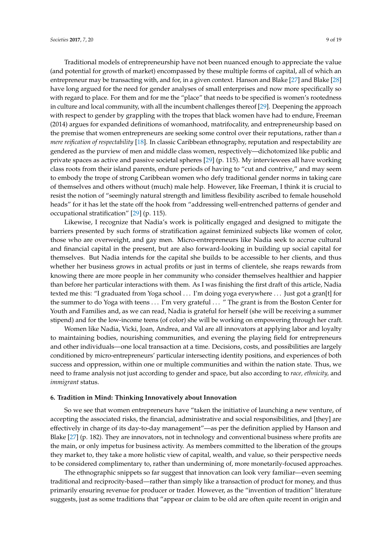Traditional models of entrepreneurship have not been nuanced enough to appreciate the value (and potential for growth of market) encompassed by these multiple forms of capital, all of which an entrepreneur may be transacting with, and for, in a given context. Hanson and Blake [\[27\]](#page-18-5) and Blake [\[28\]](#page-18-6) have long argued for the need for gender analyses of small enterprises and now more specifically so with regard to place. For them and for me the "place" that needs to be specified is women's rootedness in culture and local community, with all the incumbent challenges thereof [\[29\]](#page-18-7). Deepening the approach with respect to gender by grappling with the tropes that black women have had to endure, Freeman (2014) argues for expanded definitions of womanhood, matrifocality, and entrepreneurship based on the premise that women entrepreneurs are seeking some control over their reputations, rather than *a mere reification of respectability* [\[18\]](#page-17-17). In classic Caribbean ethnography, reputation and respectability are gendered as the purview of men and middle class women, respectively—dichotomized like public and private spaces as active and passive societal spheres [\[29\]](#page-18-7) (p. 115). My interviewees all have working class roots from their island parents, endure periods of having to "cut and contrive," and may seem to embody the trope of strong Caribbean women who defy traditional gender norms in taking care of themselves and others without (much) male help. However, like Freeman, I think it is crucial to resist the notion of "seemingly natural strength and limitless flexibility ascribed to female household heads" for it has let the state off the hook from "addressing well-entrenched patterns of gender and occupational stratification" [\[29\]](#page-18-7) (p. 115).

Likewise, I recognize that Nadia's work is politically engaged and designed to mitigate the barriers presented by such forms of stratification against feminized subjects like women of color, those who are overweight, and gay men. Micro-entrepreneurs like Nadia seek to accrue cultural and financial capital in the present, but are also forward-looking in building up social capital for themselves. But Nadia intends for the capital she builds to be accessible to her clients, and thus whether her business grows in actual profits or just in terms of clientele, she reaps rewards from knowing there are more people in her community who consider themselves healthier and happier than before her particular interactions with them. As I was finishing the first draft of this article, Nadia texted me this: "I graduated from Yoga school . . . I'm doing yoga everywhere . . . Just got a gran[t] for the summer to do Yoga with teens . . . I'm very grateful . . . " The grant is from the Boston Center for Youth and Families and, as we can read, Nadia is grateful for herself (she will be receiving a summer stipend) and for the low-income teens (of color) she will be working on empowering through her craft.

Women like Nadia, Vicki, Joan, Andrea, and Val are all innovators at applying labor and loyalty to maintaining bodies, nourishing communities, and evening the playing field for entrepreneurs and other individuals—one local transaction at a time. Decisions, costs, and possibilities are largely conditioned by micro-entrepreneurs' particular intersecting identity positions, and experiences of both success and oppression, within one or multiple communities and within the nation state. Thus, we need to frame analysis not just according to gender and space, but also according to *race, ethnicity,* and *immigrant* status.

#### **6. Tradition in Mind: Thinking Innovatively about Innovation**

So we see that women entrepreneurs have "taken the initiative of launching a new venture, of accepting the associated risks, the financial, administrative and social responsibilities, and [they] are effectively in charge of its day-to-day management"—as per the definition applied by Hanson and Blake [\[27\]](#page-18-5) (p. 182). They are innovators, not in technology and conventional business where profits are the main, or only impetus for business activity. As members committed to the liberation of the groups they market to, they take a more holistic view of capital, wealth, and value, so their perspective needs to be considered complimentary to, rather than undermining of, more monetarily-focused approaches.

The ethnographic snippets so far suggest that innovation can look very familiar—even seeming traditional and reciprocity-based—rather than simply like a transaction of product for money, and thus primarily ensuring revenue for producer or trader. However, as the "invention of tradition" literature suggests, just as some traditions that "appear or claim to be old are often quite recent in origin and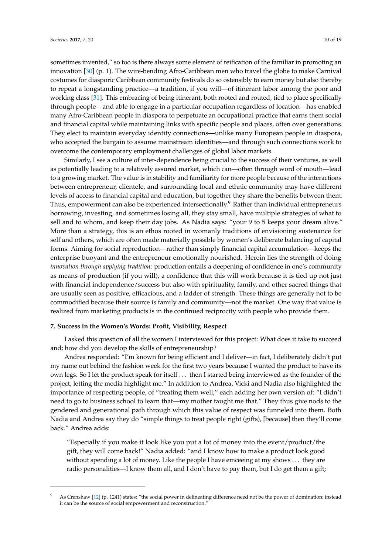sometimes invented," so too is there always some element of reification of the familiar in promoting an innovation [\[30\]](#page-18-8) (p. 1). The wire-bending Afro-Caribbean men who travel the globe to make Carnival costumes for diasporic Caribbean community festivals do so ostensibly to earn money but also thereby to repeat a longstanding practice—a tradition, if you will—of itinerant labor among the poor and working class [\[31\]](#page-18-9). This embracing of being itinerant, both rooted and routed, tied to place specifically through people—and able to engage in a particular occupation regardless of location—has enabled many Afro-Caribbean people in diaspora to perpetuate an occupational practice that earns them social and financial capital while maintaining links with specific people and places, often over generations. They elect to maintain everyday identity connections—unlike many European people in diaspora, who accepted the bargain to assume mainstream identities—and through such connections work to overcome the contemporary employment challenges of global labor markets.

Similarly, I see a culture of inter-dependence being crucial to the success of their ventures, as well as potentially leading to a relatively assured market, which can—often through word of mouth—lead to a growing market. The value is in stability and familiarity for more people because of the interactions between entrepreneur, clientele, and surrounding local and ethnic community may have different levels of access to financial capital and education, but together they share the benefits between them. Thus, empowerment can also be experienced intersectionally.<sup>9</sup> Rather than individual entrepreneurs borrowing, investing, and sometimes losing all, they stay small, have multiple strategies of what to sell and to whom, and keep their day jobs. As Nadia says: "your 9 to 5 keeps your dream alive." More than a strategy, this is an ethos rooted in womanly traditions of envisioning sustenance for self and others, which are often made materially possible by women's deliberate balancing of capital forms. Aiming for social reproduction—rather than simply financial capital accumulation—keeps the enterprise buoyant and the entrepreneur emotionally nourished. Herein lies the strength of doing *innovation through applying tradition*: production entails a deepening of confidence in one's community as means of production (if you will), a confidence that this will work because it is tied up not just with financial independence/success but also with spirituality, family, and other sacred things that are usually seen as positive, efficacious, and a ladder of strength. These things are generally not to be commodified because their source is family and community—not the market. One way that value is realized from marketing products is in the continued reciprocity with people who provide them.

## **7. Success in the Women's Words: Profit, Visibility, Respect**

I asked this question of all the women I interviewed for this project: What does it take to succeed and; how did you develop the skills of entrepreneurship?

Andrea responded: "I'm known for being efficient and I deliver—in fact, I deliberately didn't put my name out behind the fashion week for the first two years because I wanted the product to have its own legs. So I let the product speak for itself . . . then I started being interviewed as the founder of the project; letting the media highlight me." In addition to Andrea, Vicki and Nadia also highlighted the importance of respecting people, of "treating them well," each adding her own version of: "I didn't need to go to business school to learn that—my mother taught me that." They thus give nods to the gendered and generational path through which this value of respect was funneled into them. Both Nadia and Andrea say they do "simple things to treat people right (gifts), [because] then they'll come back." Andrea adds:

"Especially if you make it look like you put a lot of money into the event/product/the gift, they will come back!" Nadia added: "and I know how to make a product look good without spending a lot of money. Like the people I have emceeing at my shows . . . they are radio personalities—I know them all, and I don't have to pay them, but I do get them a gift;

As Crenshaw [\[12\]](#page-17-10) (p. 1241) states: "the social power in delineating difference need not be the power of domination; instead it can be the source of social empowerment and reconstruction.'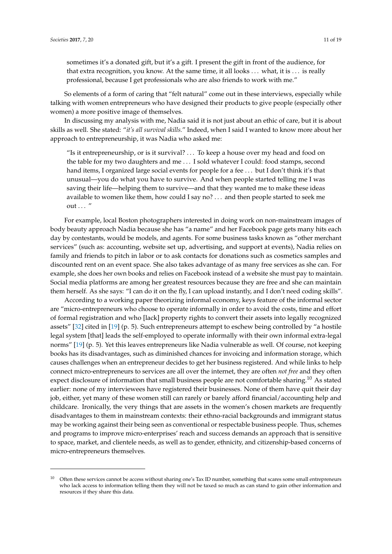sometimes it's a donated gift, but it's a gift. I present the gift in front of the audience, for that extra recognition, you know. At the same time, it all looks . . . what, it is . . . is really professional, because I get professionals who are also friends to work with me."

So elements of a form of caring that "felt natural" come out in these interviews, especially while talking with women entrepreneurs who have designed their products to give people (especially other women) a more positive image of themselves.

In discussing my analysis with me, Nadia said it is not just about an ethic of care, but it is about skills as well. She stated: "*it's all survival skills.*" Indeed, when I said I wanted to know more about her approach to entrepreneurship, it was Nadia who asked me:

"Is it entrepreneurship, or is it survival? . . . To keep a house over my head and food on the table for my two daughters and me . . . I sold whatever I could: food stamps, second hand items, I organized large social events for people for a fee ... but I don't think it's that unusual—you do what you have to survive. And when people started telling me I was saving their life—helping them to survive—and that they wanted me to make these ideas available to women like them, how could I say no? . . . and then people started to seek me out  $\ldots$  "

For example, local Boston photographers interested in doing work on non-mainstream images of body beauty approach Nadia because she has "a name" and her Facebook page gets many hits each day by contestants, would be models, and agents. For some business tasks known as "other merchant services" (such as: accounting, website set up, advertising, and support at events), Nadia relies on family and friends to pitch in labor or to ask contacts for donations such as cosmetics samples and discounted rent on an event space. She also takes advantage of as many free services as she can. For example, she does her own books and relies on Facebook instead of a website she must pay to maintain. Social media platforms are among her greatest resources because they are free and she can maintain them herself. As she says: "I can do it on the fly, I can upload instantly, and I don't need coding skills".

According to a working paper theorizing informal economy, keys feature of the informal sector are "micro-entrepreneurs who choose to operate informally in order to avoid the costs, time and effort of formal registration and who [lack] property rights to convert their assets into legally recognized assets" [\[32\]](#page-18-10) cited in [\[19\]](#page-17-18) (p. 5). Such entrepreneurs attempt to eschew being controlled by "a hostile legal system [that] leads the self-employed to operate informally with their own informal extra-legal norms" [\[19\]](#page-17-18) (p. 5). Yet this leaves entrepreneurs like Nadia vulnerable as well. Of course, not keeping books has its disadvantages, such as diminished chances for invoicing and information storage, which causes challenges when an entrepreneur decides to get her business registered. And while links to help connect micro-entrepreneurs to services are all over the internet, they are often *not free* and they often expect disclosure of information that small business people are not comfortable sharing.<sup>10</sup> As stated earlier: none of my interviewees have registered their businesses. None of them have quit their day job, either, yet many of these women still can rarely or barely afford financial/accounting help and childcare. Ironically, the very things that are assets in the women's chosen markets are frequently disadvantages to them in mainstream contexts: their ethno-racial backgrounds and immigrant status may be working against their being seen as conventional or respectable business people. Thus, schemes and programs to improve micro-enterprises' reach and success demands an approach that is sensitive to space, market, and clientele needs, as well as to gender, ethnicity, and citizenship-based concerns of micro-entrepreneurs themselves.

<sup>10</sup> Often these services cannot be access without sharing one's Tax ID number, something that scares some small entrepreneurs who lack access to information telling them they will not be taxed so much as can stand to gain other information and resources if they share this data.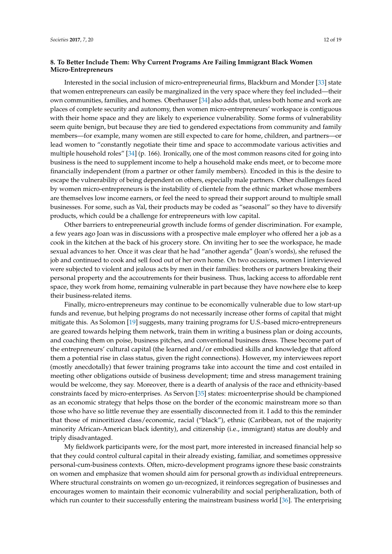# **8. To Better Include Them: Why Current Programs Are Failing Immigrant Black Women Micro-Entrepreneurs**

Interested in the social inclusion of micro-entrepreneurial firms, Blackburn and Monder [\[33\]](#page-18-11) state that women entrepreneurs can easily be marginalized in the very space where they feel included—their own communities, families, and homes. Oberhauser [\[34\]](#page-18-12) also adds that, unless both home and work are places of complete security and autonomy, then women micro-entrepreneurs' workspace is contiguous with their home space and they are likely to experience vulnerability. Some forms of vulnerability seem quite benign, but because they are tied to gendered expectations from community and family members—for example, many women are still expected to care for home, children, and partners—or lead women to "constantly negotiate their time and space to accommodate various activities and multiple household roles" [\[34\]](#page-18-12) (p. 166). Ironically, one of the most common reasons cited for going into business is the need to supplement income to help a household make ends meet, or to become more financially independent (from a partner or other family members). Encoded in this is the desire to escape the vulnerability of being dependent on others, especially male partners. Other challenges faced by women micro-entrepreneurs is the instability of clientele from the ethnic market whose members are themselves low income earners, or feel the need to spread their support around to multiple small businesses. For some, such as Val, their products may be coded as "seasonal" so they have to diversify products, which could be a challenge for entrepreneurs with low capital.

Other barriers to entrepreneurial growth include forms of gender discrimination. For example, a few years ago Joan was in discussions with a prospective male employer who offered her a job as a cook in the kitchen at the back of his grocery store. On inviting her to see the workspace, he made sexual advances to her. Once it was clear that he had "another agenda" (Joan's words), she refused the job and continued to cook and sell food out of her own home. On two occasions, women I interviewed were subjected to violent and jealous acts by men in their families: brothers or partners breaking their personal property and the accoutrements for their business. Thus, lacking access to affordable rent space, they work from home, remaining vulnerable in part because they have nowhere else to keep their business-related items.

Finally, micro-entrepreneurs may continue to be economically vulnerable due to low start-up funds and revenue, but helping programs do not necessarily increase other forms of capital that might mitigate this. As Solomon [\[19\]](#page-17-18) suggests, many training programs for U.S.-based micro-entrepreneurs are geared towards helping them network, train them in writing a business plan or doing accounts, and coaching them on poise, business pitches, and conventional business dress. These become part of the entrepreneurs' cultural capital (the learned and/or embodied skills and knowledge that afford them a potential rise in class status, given the right connections). However, my interviewees report (mostly anecdotally) that fewer training programs take into account the time and cost entailed in meeting other obligations outside of business development; time and stress management training would be welcome, they say. Moreover, there is a dearth of analysis of the race and ethnicity-based constraints faced by micro-enterprises. As Servon [\[35\]](#page-18-13) states: microenterprise should be championed as an economic strategy that helps those on the border of the economic mainstream more so than those who have so little revenue they are essentially disconnected from it. I add to this the reminder that those of minoritized class/economic, racial ("black"), ethnic (Caribbean, not of the majority minority African-American black identity), and citizenship (i.e., immigrant) status are doubly and triply disadvantaged.

My fieldwork participants were, for the most part, more interested in increased financial help so that they could control cultural capital in their already existing, familiar, and sometimes oppressive personal-cum-business contexts. Often, micro-development programs ignore these basic constraints on women and emphasize that women should aim for personal growth *as* individual entrepreneurs. Where structural constraints on women go un-recognized, it reinforces segregation of businesses and encourages women to maintain their economic vulnerability and social peripheralization, both of which run counter to their successfully entering the mainstream business world [\[36\]](#page-18-14). The enterprising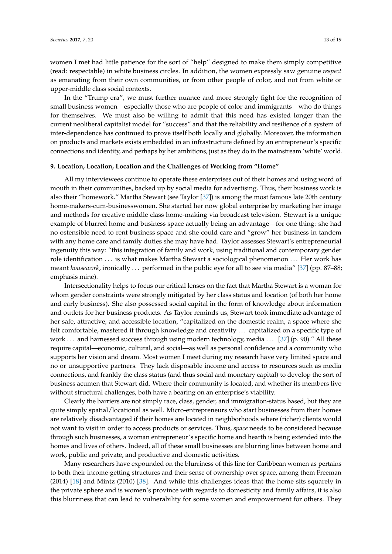women I met had little patience for the sort of "help" designed to make them simply competitive (read: respectable) in white business circles. In addition, the women expressly saw genuine *respect* as emanating from their own communities, or from other people of color, and not from white or upper-middle class social contexts.

In the "Trump era", we must further nuance and more strongly fight for the recognition of small business women—especially those who are people of color and immigrants—who do things for themselves. We must also be willing to admit that this need has existed longer than the current neoliberal capitalist model for "success" and that the reliability and resilience of a system of inter-dependence has continued to prove itself both locally and globally. Moreover, the information on products and markets exists embedded in an infrastructure defined by an entrepreneur's specific connections and identity, and perhaps by her ambitions, just as they do in the mainstream 'white' world.

## **9. Location, Location, Location and the Challenges of Working from "Home"**

All my interviewees continue to operate these enterprises out of their homes and using word of mouth in their communities, backed up by social media for advertising. Thus, their business work is also their "homework." Martha Stewart (see Taylor [\[37\]](#page-18-15)) is among the most famous late 20th century home-makers-cum-businesswomen. She started her now global enterprise by marketing her image and methods for creative middle class home-making via broadcast television. Stewart is a unique example of blurred home and business space actually being an advantage—for one thing: she had no ostensible need to rent business space and she could care and "grow" her business in tandem with any home care and family duties she may have had. Taylor assesses Stewart's entrepreneurial ingenuity this way: "this integration of family and work, using traditional and contemporary gender role identification . . . is what makes Martha Stewart a sociological phenomenon . . . Her work has meant *housework*, ironically ... performed in the public eye for all to see via media" [\[37\]](#page-18-15) (pp. 87–88; emphasis mine).

Intersectionality helps to focus our critical lenses on the fact that Martha Stewart is a woman for whom gender constraints were strongly mitigated by her class status and location (of both her home and early business). She also possessed social capital in the form of knowledge about information and outlets for her business products. As Taylor reminds us, Stewart took immediate advantage of her safe, attractive, and accessible location, "capitalized on the domestic realm, a space where she felt comfortable, mastered it through knowledge and creativity . . . capitalized on a specific type of work . . . and harnessed success through using modern technology, media . . . [\[37\]](#page-18-15) (p. 90)." All these require capital—economic, cultural, and social—as well as personal confidence and a community who supports her vision and dream. Most women I meet during my research have very limited space and no or unsupportive partners. They lack disposable income and access to resources such as media connections, and frankly the class status (and thus social and monetary capital) to develop the sort of business acumen that Stewart did. Where their community is located, and whether its members live without structural challenges, both have a bearing on an enterprise's viability.

Clearly the barriers are not simply race, class, gender, and immigration-status based, but they are quite simply spatial/locational as well. Micro-entrepreneurs who start businesses from their homes are relatively disadvantaged if their homes are located in neighborhoods where (richer) clients would not want to visit in order to access products or services. Thus, *space* needs to be considered because through such businesses, a woman entrepreneur's specific home and hearth is being extended into the homes and lives of others. Indeed, all of these small businesses are blurring lines between home and work, public and private, and productive and domestic activities.

Many researchers have expounded on the blurriness of this line for Caribbean women as pertains to both their income-getting structures and their sense of ownership over space, among them Freeman (2014) [\[18\]](#page-17-17) and Mintz (2010) [\[38\]](#page-18-16). And while this challenges ideas that the home sits squarely in the private sphere and is women's province with regards to domesticity and family affairs, it is also this blurriness that can lead to vulnerability for some women and empowerment for others. They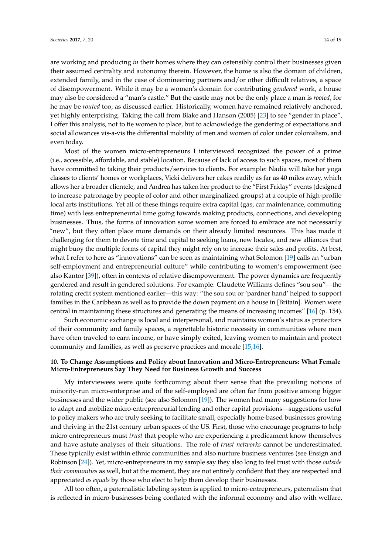are working and producing *in* their homes where they can ostensibly control their businesses given their assumed centrality and autonomy therein. However, the home is also the domain of children, extended family, and in the case of domineering partners and/or other difficult relatives, a space of disempowerment. While it may be a women's domain for contributing *gendered* work, a house may also be considered a "man's castle." But the castle may not be the only place a man is *rooted*, for he may be *routed* too, as discussed earlier. Historically, women have remained relatively anchored, yet highly enterprising. Taking the call from Blake and Hanson (2005) [\[23\]](#page-18-1) to see "gender in place", I offer this analysis, not to tie women to place, but to acknowledge the gendering of expectations and social allowances vis-a-vis the differential mobility of men and women of color under colonialism, and even today.

Most of the women micro-entrepreneurs I interviewed recognized the power of a prime (i.e., accessible, affordable, and stable) location. Because of lack of access to such spaces, most of them have committed to taking their products/services to clients. For example: Nadia will take her yoga classes to clients' homes or workplaces, Vicki delivers her cakes readily as far as 40 miles away, which allows her a broader clientele, and Andrea has taken her product to the "First Friday" events (designed to increase patronage by people of color and other marginalized groups) at a couple of high-profile local arts institutions. Yet all of these things require extra capital (gas, car maintenance, commuting time) with less entrepreneurial time going towards making products, connections, and developing businesses. Thus, the forms of innovation some women are forced to embrace are not necessarily "new", but they often place more demands on their already limited resources. This has made it challenging for them to devote time and capital to seeking loans, new locales, and new alliances that might buoy the multiple forms of capital they might rely on to increase their sales and profits. At best, what I refer to here as "innovations" can be seen as maintaining what Solomon [\[19\]](#page-17-18) calls an "urban self-employment and entrepreneurial culture" while contributing to women's empowerment (see also Kantor [\[39\]](#page-18-17)), often in contexts of relative disempowerment. The power dynamics are frequently gendered and result in gendered solutions. For example: Claudette Williams defines "sou sou"—the rotating credit system mentioned earlier—this way: "the sou sou or 'pardner hand' helped to support families in the Caribbean as well as to provide the down payment on a house in [Britain]. Women were central in maintaining these structures and generating the means of increasing incomes" [\[16\]](#page-17-15) (p. 154).

Such economic exchange is local and interpersonal, and maintains women's status as protectors of their community and family spaces, a regrettable historic necessity in communities where men have often traveled to earn income, or have simply exited, leaving women to maintain and protect community and families, as well as preserve practices and morale [\[15,](#page-17-14)[16\]](#page-17-15).

# **10. To Change Assumptions and Policy about Innovation and Micro-Entrepreneurs: What Female Micro-Entrepreneurs Say They Need for Business Growth and Success**

My interviewees were quite forthcoming about their sense that the prevailing notions of minority-run micro-enterprise and of the self-employed are often far from positive among bigger businesses and the wider public (see also Solomon [\[19\]](#page-17-18)). The women had many suggestions for how to adapt and mobilize micro-entrepreneurial lending and other capital provisions—suggestions useful to policy makers who are truly seeking to facilitate small, especially home-based businesses growing and thriving in the 21st century urban spaces of the US. First, those who encourage programs to help micro entrepreneurs must *trust* that people who are experiencing a predicament know themselves and have astute analyses of their situations. The role of *trust networks* cannot be underestimated. These typically exist within ethnic communities and also nurture business ventures (see Ensign and Robinson [\[24\]](#page-18-2)). Yet, micro-entrepreneurs in my sample say they also long to feel trust with those *outside their communities* as well, but at the moment, they are not entirely confident that they are respected and appreciated *as equals* by those who elect to help them develop their businesses.

All too often, a paternalistic labeling system is applied to micro-entrepreneurs, paternalism that is reflected in micro-businesses being conflated with the informal economy and also with welfare,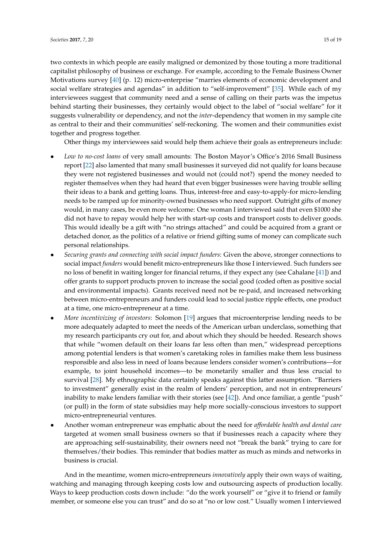two contexts in which people are easily maligned or demonized by those touting a more traditional capitalist philosophy of business or exchange. For example, according to the Female Business Owner Motivations survey [\[40\]](#page-18-18) (p. 12) micro-enterprise "marries elements of economic development and social welfare strategies and agendas" in addition to "self-improvement" [\[35\]](#page-18-13). While each of my interviewees suggest that community need and a sense of calling on their parts was the impetus behind starting their businesses, they certainly would object to the label of "social welfare" for it suggests vulnerability or dependency, and not the *inter*-dependency that women in my sample cite as central to their and their communities' self-reckoning. The women and their communities exist together and progress together.

Other things my interviewees said would help them achieve their goals as entrepreneurs include:

- *Low to no-cost loans* of very small amounts: The Boston Mayor's Office's 2016 Small Business report [\[22\]](#page-18-0) also lamented that many small businesses it surveyed did not qualify for loans because they were not registered businesses and would not (could not?) spend the money needed to register themselves when they had heard that even bigger businesses were having trouble selling their ideas to a bank and getting loans. Thus, interest-free and easy-to-apply-for micro-lending needs to be ramped up for minority-owned businesses who need support. Outright gifts of money would, in many cases, be even more welcome: One woman I interviewed said that even \$1000 she did not have to repay would help her with start-up costs and transport costs to deliver goods. This would ideally be a gift with "no strings attached" and could be acquired from a grant or detached donor, as the politics of a relative or friend gifting sums of money can complicate such personal relationships.
- *Securing grants and connecting with social impact funders*: Given the above, stronger connections to social impact *funders* would benefit micro-entrepreneurs like those I interviewed. Such funders see no loss of benefit in waiting longer for financial returns, if they expect any (see Cahalane [\[41\]](#page-18-19)) and offer grants to support products proven to increase the social good (coded often as positive social and environmental impacts). Grants received need not be re-paid, and increased networking between micro-entrepreneurs and funders could lead to social justice ripple effects, one product at a time, one micro-entrepreneur at a time.
- *More incentivizing of investors*: Solomon [\[19\]](#page-17-18) argues that microenterprise lending needs to be more adequately adapted to meet the needs of the American urban underclass, something that my research participants cry out for, and about which they should be heeded. Research shows that while "women default on their loans far less often than men," widespread perceptions among potential lenders is that women's caretaking roles in families make them less business responsible and also less in need of loans because lenders consider women's contributions—for example, to joint household incomes—to be monetarily smaller and thus less crucial to survival [\[28\]](#page-18-6). My ethnographic data certainly speaks against this latter assumption. "Barriers to investment" generally exist in the realm of lenders' perception, and not in entrepreneurs' inability to make lenders familiar with their stories (see [\[42\]](#page-18-20)). And once familiar, a gentle "push" (or pull) in the form of state subsidies may help more socially-conscious investors to support micro-entrepreneurial ventures.
- Another woman entrepreneur was emphatic about the need for *affordable health and dental care* targeted at women small business owners so that if businesses reach a capacity where they are approaching self-sustainability, their owners need not "break the bank" trying to care for themselves/their bodies. This reminder that bodies matter as much as minds and networks in business is crucial.

And in the meantime, women micro-entrepreneurs *innovatively* apply their own ways of waiting, watching and managing through keeping costs low and outsourcing aspects of production locally. Ways to keep production costs down include: "do the work yourself" or "give it to friend or family member, or someone else you can trust" and do so at "no or low cost." Usually women I interviewed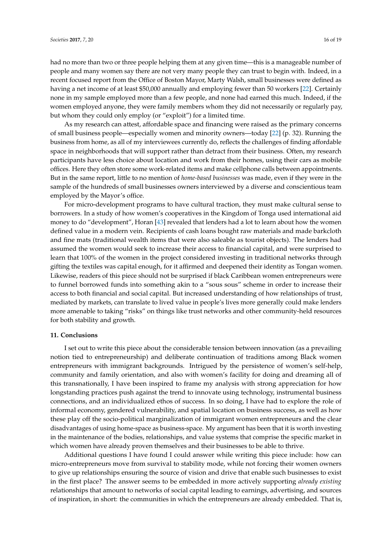had no more than two or three people helping them at any given time—this is a manageable number of people and many women say there are not very many people they can trust to begin with. Indeed, in a recent focused report from the Office of Boston Mayor, Marty Walsh, small businesses were defined as having a net income of at least \$50,000 annually and employing fewer than 50 workers [\[22\]](#page-18-0). Certainly none in my sample employed more than a few people, and none had earned this much. Indeed, if the women employed anyone, they were family members whom they did not necessarily or regularly pay, but whom they could only employ (or "exploit") for a limited time.

As my research can attest, affordable space and financing were raised as the primary concerns of small business people—especially women and minority owners—today [\[22\]](#page-18-0) (p. 32). Running the business from home, as all of my interviewees currently do, reflects the challenges of finding affordable space in neighborhoods that will support rather than detract from their business. Often, my research participants have less choice about location and work from their homes, using their cars as mobile offices. Here they often store some work-related items and make cellphone calls between appointments. But in the same report, little to no mention of *home-based businesses* was made, even if they were in the sample of the hundreds of small businesses owners interviewed by a diverse and conscientious team employed by the Mayor's office.

For micro-development programs to have cultural traction, they must make cultural sense to borrowers. In a study of how women's cooperatives in the Kingdom of Tonga used international aid money to do "development", Horan [\[43\]](#page-18-21) revealed that lenders had a lot to learn about how the women defined value in a modern vein. Recipients of cash loans bought raw materials and made barkcloth and fine mats (traditional wealth items that were also saleable as tourist objects). The lenders had assumed the women would seek to increase their access to financial capital, and were surprised to learn that 100% of the women in the project considered investing in traditional networks through gifting the textiles was capital enough, for it affirmed and deepened their identity as Tongan women. Likewise, readers of this piece should not be surprised if black Caribbean women entrepreneurs were to funnel borrowed funds into something akin to a "sous sous" scheme in order to increase their access to both financial and social capital. But increased understanding of how relationships of trust, mediated by markets, can translate to lived value in people's lives more generally could make lenders more amenable to taking "risks" on things like trust networks and other community-held resources for both stability and growth.

#### **11. Conclusions**

I set out to write this piece about the considerable tension between innovation (as a prevailing notion tied to entrepreneurship) and deliberate continuation of traditions among Black women entrepreneurs with immigrant backgrounds. Intrigued by the persistence of women's self-help, community and family orientation, and also with women's facility for doing and dreaming all of this transnationally, I have been inspired to frame my analysis with strong appreciation for how longstanding practices push against the trend to innovate using technology, instrumental business connections, and an individualized ethos of success. In so doing, I have had to explore the role of informal economy, gendered vulnerability, and spatial location on business success, as well as how these play off the socio-political marginalization of immigrant women entrepreneurs and the clear disadvantages of using home-space as business-space. My argument has been that it is worth investing in the maintenance of the bodies, relationships, and value systems that comprise the specific market in which women have already proven themselves and their businesses to be able to thrive.

Additional questions I have found I could answer while writing this piece include: how can micro-entrepreneurs move from survival to stability mode, while not forcing their women owners to give up relationships ensuring the source of vision and drive that enable such businesses to exist in the first place? The answer seems to be embedded in more actively supporting *already existing* relationships that amount to networks of social capital leading to earnings, advertising, and sources of inspiration, in short: the communities in which the entrepreneurs are already embedded. That is,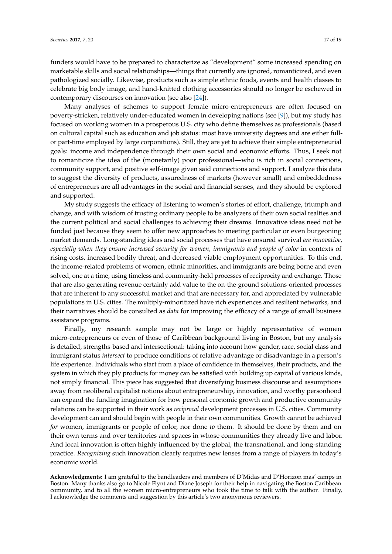funders would have to be prepared to characterize as "development" some increased spending on marketable skills and social relationships—things that currently are ignored, romanticized, and even pathologized socially. Likewise, products such as simple ethnic foods, events and health classes to celebrate big body image, and hand-knitted clothing accessories should no longer be eschewed in contemporary discourses on innovation (see also [\[24\]](#page-18-2)).

Many analyses of schemes to support female micro-entrepreneurs are often focused on poverty-stricken, relatively under-educated women in developing nations (see [\[9\]](#page-17-7)), but my study has focused on working women in a prosperous U.S. city who define themselves as professionals (based on cultural capital such as education and job status: most have university degrees and are either fullor part-time employed by large corporations). Still, they are yet to achieve their simple entrepreneurial goals: income and independence through their own social and economic efforts. Thus, I seek not to romanticize the idea of the (monetarily) poor professional—who is rich in social connections, community support, and positive self-image given said connections and support. I analyze this data to suggest the diversity of products, assuredness of markets (however small) and embeddedness of entrepreneurs are all advantages in the social and financial senses, and they should be explored and supported.

My study suggests the efficacy of listening to women's stories of effort, challenge, triumph and change, and with wisdom of trusting ordinary people to be analyzers of their own social realties and the current political and social challenges to achieving their dreams. Innovative ideas need not be funded just because they seem to offer new approaches to meeting particular or even burgeoning market demands. Long-standing ideas and social processes that have ensured survival *are innovative, especially when they ensure increased security for women, immigrants and people of color* in contexts of rising costs, increased bodily threat, and decreased viable employment opportunities. To this end, the income-related problems of women, ethnic minorities, and immigrants are being borne and even solved, one at a time, using timeless and community-held processes of reciprocity and exchange. Those that are also generating revenue certainly add value to the on-the-ground solutions-oriented processes that are inherent to any successful market and that are necessary for, and appreciated by vulnerable populations in U.S. cities. The multiply-minoritized have rich experiences and resilient networks, and their narratives should be consulted as *data* for improving the efficacy of a range of small business assistance programs.

Finally, my research sample may not be large or highly representative of women micro-entrepreneurs or even of those of Caribbean background living in Boston, but my analysis is detailed, strengths-based and intersectional: taking into account how gender, race, social class and immigrant status *intersect* to produce conditions of relative advantage or disadvantage in a person's life experience. Individuals who start from a place of confidence in themselves, their products, and the system in which they ply products for money can be satisfied with building up capital of various kinds, not simply financial. This piece has suggested that diversifying business discourse and assumptions away from neoliberal capitalist notions about entrepreneurship, innovation, and worthy personhood can expand the funding imagination for how personal economic growth and productive community relations can be supported in their work as *reciprocal* development processes in U.S. cities. Community development can and should begin with people in their own communities. Growth cannot be achieved *for* women, immigrants or people of color, nor done *to* them. It should be done by them and on their own terms and over territories and spaces in whose communities they already live and labor. And local innovation is often highly influenced by the global, the transnational, and long-standing practice. *Recognizing* such innovation clearly requires new lenses from a range of players in today's economic world.

**Acknowledgments:** I am grateful to the bandleaders and members of D'Midas and D'Horizon mas' camps in Boston. Many thanks also go to Nicole Flynt and Diane Joseph for their help in navigating the Boston Caribbean community, and to all the women micro-entrepreneurs who took the time to talk with the author. Finally, I acknowledge the comments and suggestion by this article's two anonymous reviewers.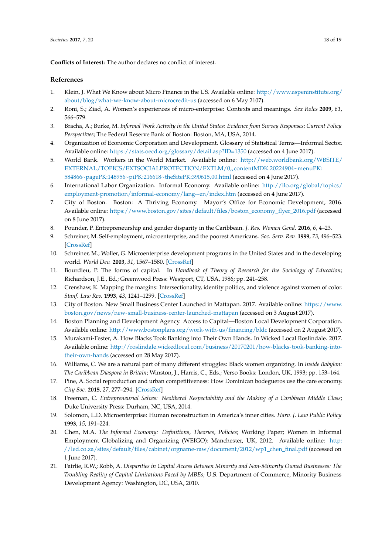**Conflicts of Interest:** The author declares no conflict of interest.

## **References**

- <span id="page-17-0"></span>1. Klein, J. What We Know about Micro Finance in the US. Available online: [http://www.aspeninstitute.org/](http://www.aspeninstitute.org/about/blog/what-we-know-about-microcredit-us) [about/blog/what-we-know-about-microcredit-us](http://www.aspeninstitute.org/about/blog/what-we-know-about-microcredit-us) (accessed on 6 May 2107).
- <span id="page-17-1"></span>2. Roni, S.; Ziad, A. Women's experiences of micro-enterprise: Contexts and meanings. *Sex Roles* **2009**, *61*, 566–579.
- <span id="page-17-2"></span>3. Bracha, A.; Burke, M. *Informal Work Activity in the United States: Evidence from Survey Responses; Current Policy Perspectives*; The Federal Reserve Bank of Boston: Boston, MA, USA, 2014.
- <span id="page-17-3"></span>4. Organization of Economic Corporation and Development. Glossary of Statistical Terms—Informal Sector. Available online: <https://stats.oecd.org/glossary/detail.asp?ID=1350> (accessed on 4 June 2017).
- <span id="page-17-4"></span>5. World Bank. Workers in the World Market. Available online: [http://web.worldbank.org/WBSITE/](http://web.worldbank.org/WBSITE/EXTERNAL/TOPICS/EXTSOCIALPROTECTION/EXTLM/0,,contentMDK:20224904~menuPK:584866~pagePK:148956~piPK:216618~theSitePK:390615,00.html) [EXTERNAL/TOPICS/EXTSOCIALPROTECTION/EXTLM/0,,contentMDK:20224904~menuPK:](http://web.worldbank.org/WBSITE/EXTERNAL/TOPICS/EXTSOCIALPROTECTION/EXTLM/0,,contentMDK:20224904~menuPK:584866~pagePK:148956~piPK:216618~theSitePK:390615,00.html) [584866~pagePK:148956~piPK:216618~theSitePK:390615,00.html](http://web.worldbank.org/WBSITE/EXTERNAL/TOPICS/EXTSOCIALPROTECTION/EXTLM/0,,contentMDK:20224904~menuPK:584866~pagePK:148956~piPK:216618~theSitePK:390615,00.html) (accessed on 4 June 2017).
- <span id="page-17-8"></span>6. International Labor Organization. Informal Economy. Available online: [http://ilo.org/global/topics/](http://ilo.org/global/topics/employment-promotion/informal-economy/lang--en/index.htm) [employment-promotion/informal-economy/lang--en/index.htm](http://ilo.org/global/topics/employment-promotion/informal-economy/lang--en/index.htm) (accessed on 4 June 2017).
- <span id="page-17-5"></span>7. City of Boston. Boston: A Thriving Economy. Mayor's Office for Economic Development, 2016. Available online: [https://www.boston.gov/sites/default/files/boston\\_economy\\_flyer\\_2016.pdf](https://www.boston.gov/sites/default/files/boston_economy_flyer_2016.pdf) (accessed on 8 June 2017).
- <span id="page-17-6"></span>8. Pounder, P. Entrepreneurship and gender disparity in the Caribbean. *J. Res. Women Gend.* **2016**, *6*, 4–23.
- <span id="page-17-7"></span>9. Schreiner, M. Self-employment, microenterprise, and the poorest Americans. *Soc. Serv. Rev.* **1999**, *73*, 496–523. [\[CrossRef\]](http://dx.doi.org/10.1086/514443)
- <span id="page-17-9"></span>10. Schreiner, M.; Woller, G. Microenterprise development programs in the United States and in the developing world. *World Dev.* **2003**, *31*, 1567–1580. [\[CrossRef\]](http://dx.doi.org/10.1016/S0305-750X(03)00112-8)
- <span id="page-17-11"></span>11. Bourdieu, P. The forms of capital. In *Handbook of Theory of Research for the Sociology of Education*; Richardson, J.E., Ed.; Greenwood Press: Westport, CT, USA, 1986; pp. 241–258.
- <span id="page-17-10"></span>12. Crenshaw, K. Mapping the margins: Intersectionality, identity politics, and violence against women of color. *Stanf. Law Rev.* **1993**, *43*, 1241–1299. [\[CrossRef\]](http://dx.doi.org/10.2307/1229039)
- <span id="page-17-12"></span>13. City of Boston. New Small Business Center Launched in Mattapan. 2017. Available online: [https://www.](https://www.boston.gov/news/new-small-business-center-launched-mattapan) [boston.gov/news/new-small-business-center-launched-mattapan](https://www.boston.gov/news/new-small-business-center-launched-mattapan) (accessed on 3 August 2017).
- <span id="page-17-13"></span>14. Boston Planning and Development Agency. Access to Capital—Boston Local Development Corporation. Available online: <http://www.bostonplans.org/work-with-us/financing/bldc> (accessed on 2 August 2017).
- <span id="page-17-14"></span>15. Murakami-Fester, A. How Blacks Took Banking into Their Own Hands. In Wicked Local Roslindale. 2017. Available online: [http://roslindale.wickedlocal.com/business/20170201/how-blacks-took-banking-into](http://roslindale.wickedlocal.com/business/20170201/how-blacks-took-banking-into-their-own-hands)[their-own-hands](http://roslindale.wickedlocal.com/business/20170201/how-blacks-took-banking-into-their-own-hands) (accessed on 28 May 2017).
- <span id="page-17-15"></span>16. Williams, C. We are a natural part of many different struggles: Black women organizing. In *Inside Babylon: The Caribbean Diaspora in Britain*; Winston, J., Harris, C., Eds.; Verso Books: London, UK, 1993; pp. 153–164.
- <span id="page-17-16"></span>17. Pine, A. Social reproduction and urban competitiveness: How Dominican bodegueros use the care economy. *City Soc.* **2015**, *27*, 277–294. [\[CrossRef\]](http://dx.doi.org/10.1111/ciso.12065)
- <span id="page-17-17"></span>18. Freeman, C. *Entrepreneurial Selves: Neoliberal Respectability and the Making of a Caribbean Middle Class*; Duke University Press: Durham, NC, USA, 2014.
- <span id="page-17-18"></span>19. Solomon, L.D. Microenterprise: Human reconstruction in America's inner cities. *Harv. J. Law Public Policy* **1993**, *15*, 191–224.
- <span id="page-17-19"></span>20. Chen, M.A. *The Informal Economy: Definitions, Theories, Policies*; Working Paper; Women in Informal Employment Globalizing and Organizing (WEIGO): Manchester, UK, 2012. Available online: [http:](http://led.co.za/sites/default/files/cabinet/orgname-raw/document/2012/wp1_chen_final.pdf) [//led.co.za/sites/default/files/cabinet/orgname-raw/document/2012/wp1\\_chen\\_final.pdf](http://led.co.za/sites/default/files/cabinet/orgname-raw/document/2012/wp1_chen_final.pdf) (accessed on 1 June 2017).
- <span id="page-17-20"></span>21. Fairlie, R.W.; Robb, A. *Disparities in Capital Access Between Minority and Non-Minority Owned Businesses: The Troubling Reality of Capital Limitations Faced by MBEs*; U.S. Department of Commerce, Minority Business Development Agency: Washington, DC, USA, 2010.